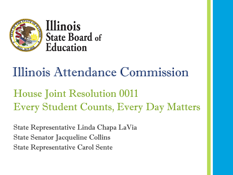

Illinois **State Board of** Education

# Illinois Attendance Commission

House Joint Resolution 0011 Every Student Counts, Every Day Matters

State Representative Linda Chapa LaVia State Senator Jacqueline Collins State Representative Carol Sente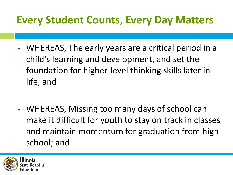- WHEREAS, The early years are a critical period in a child's learning and development, and set the foundation for higher-level thinking skills later in life; and
- WHEREAS, Missing too many days of school can make it difficult for youth to stay on track in classes and maintain momentum for graduation from high school; and

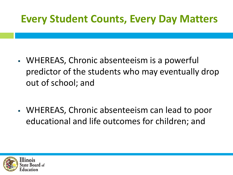- WHEREAS, Chronic absenteeism is a powerful predictor of the students who may eventually drop out of school; and
- WHEREAS, Chronic absenteeism can lead to poor educational and life outcomes for children; and

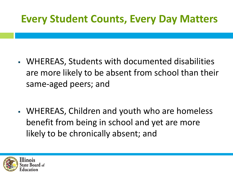- WHEREAS, Students with documented disabilities are more likely to be absent from school than their same-aged peers; and
- WHEREAS, Children and youth who are homeless benefit from being in school and yet are more likely to be chronically absent; and

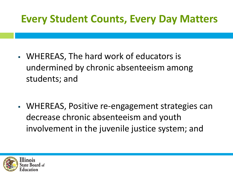- WHEREAS, The hard work of educators is undermined by chronic absenteeism among students; and
- **WHEREAS, Positive re-engagement strategies can** decrease chronic absenteeism and youth involvement in the juvenile justice system; and

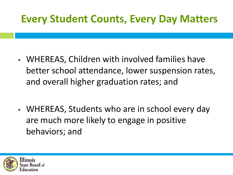- WHEREAS, Children with involved families have better school attendance, lower suspension rates, and overall higher graduation rates; and
- WHEREAS, Students who are in school every day are much more likely to engage in positive behaviors; and

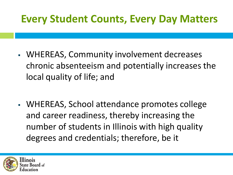- WHEREAS, Community involvement decreases chronic absenteeism and potentially increases the local quality of life; and
- WHEREAS, School attendance promotes college and career readiness, thereby increasing the number of students in Illinois with high quality degrees and credentials; therefore, be it

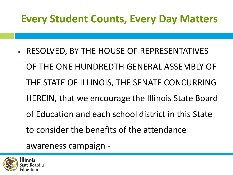▪ RESOLVED, BY THE HOUSE OF REPRESENTATIVES OF THE ONE HUNDREDTH GENERAL ASSEMBLY OF THE STATE OF ILLINOIS, THE SENATE CONCURRING HEREIN, that we encourage the Illinois State Board of Education and each school district in this State to consider the benefits of the attendance

awareness campaign -

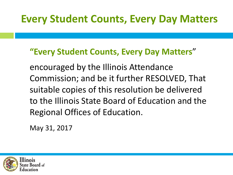#### **"Every Student Counts, Every Day Matters**"

encouraged by the Illinois Attendance Commission; and be it further RESOLVED, That suitable copies of this resolution be delivered to the Illinois State Board of Education and the Regional Offices of Education.

May 31, 2017